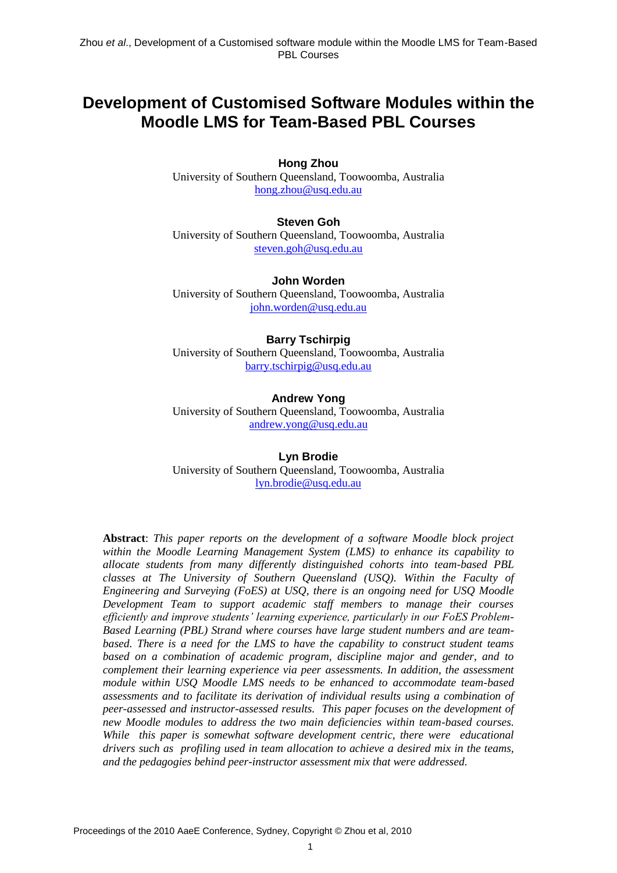# **Development of Customised Software Modules within the Moodle LMS for Team-Based PBL Courses**

#### **Hong Zhou**

University of Southern Queensland, Toowoomba, Australia [hong.zhou@usq.edu.au](mailto:hong.zhou@usq.edu.au)

#### **Steven Goh**

University of Southern Queensland, Toowoomba, Australia [steven.goh@usq.edu.au](mailto:steven.goh@usq.edu.au)

**John Worden** University of Southern Queensland, Toowoomba, Australia [john.worden@usq.edu.au](mailto:john.worden@usq.edu.au)

#### **Barry Tschirpig**

University of Southern Queensland, Toowoomba, Australia [barry.tschirpig@usq.edu.au](mailto:barry.tschirpig@usq.edu.au)

#### **Andrew Yong**

University of Southern Queensland, Toowoomba, Australia [andrew.yong@usq.edu.au](mailto:andrew.yong@usq.edu.au)

#### **Lyn Brodie**

University of Southern Queensland, Toowoomba, Australia [lyn.brodie@usq.edu.au](mailto:lyn.brodie@usq.edu.au)

**Abstract**: *This paper reports on the development of a software Moodle block project within the Moodle Learning Management System (LMS) to enhance its capability to allocate students from many differently distinguished cohorts into team-based PBL classes at The University of Southern Queensland (USQ). Within the Faculty of Engineering and Surveying (FoES) at USQ, there is an ongoing need for USQ Moodle Development Team to support academic staff members to manage their courses efficiently and improve students' learning experience, particularly in our FoES Problem-Based Learning (PBL) Strand where courses have large student numbers and are teambased. There is a need for the LMS to have the capability to construct student teams based on a combination of academic program, discipline major and gender, and to complement their learning experience via peer assessments. In addition, the assessment module within USQ Moodle LMS needs to be enhanced to accommodate team-based assessments and to facilitate its derivation of individual results using a combination of peer-assessed and instructor-assessed results. This paper focuses on the development of new Moodle modules to address the two main deficiencies within team-based courses. While this paper is somewhat software development centric, there were educational drivers such as profiling used in team allocation to achieve a desired mix in the teams, and the pedagogies behind peer-instructor assessment mix that were addressed.*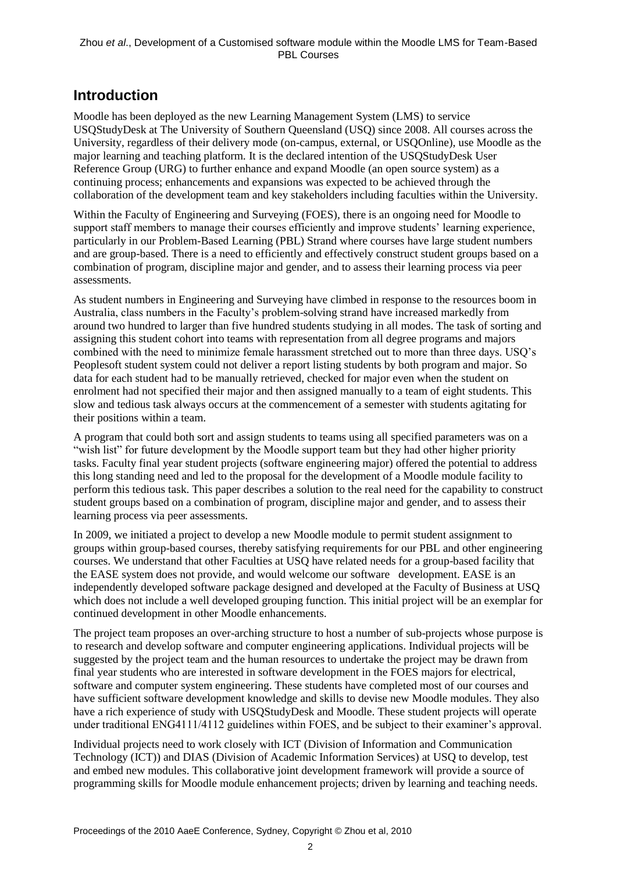# **Introduction**

Moodle has been deployed as the new Learning Management System (LMS) to service USQStudyDesk at The University of Southern Queensland (USQ) since 2008. All courses across the University, regardless of their delivery mode (on-campus, external, or USQOnline), use Moodle as the major learning and teaching platform. It is the declared intention of the USQStudyDesk User Reference Group (URG) to further enhance and expand Moodle (an open source system) as a continuing process; enhancements and expansions was expected to be achieved through the collaboration of the development team and key stakeholders including faculties within the University.

Within the Faculty of Engineering and Surveying (FOES), there is an ongoing need for Moodle to support staff members to manage their courses efficiently and improve students" learning experience, particularly in our Problem-Based Learning (PBL) Strand where courses have large student numbers and are group-based. There is a need to efficiently and effectively construct student groups based on a combination of program, discipline major and gender, and to assess their learning process via peer assessments.

As student numbers in Engineering and Surveying have climbed in response to the resources boom in Australia, class numbers in the Faculty"s problem-solving strand have increased markedly from around two hundred to larger than five hundred students studying in all modes. The task of sorting and assigning this student cohort into teams with representation from all degree programs and majors combined with the need to minimize female harassment stretched out to more than three days. USQ"s Peoplesoft student system could not deliver a report listing students by both program and major. So data for each student had to be manually retrieved, checked for major even when the student on enrolment had not specified their major and then assigned manually to a team of eight students. This slow and tedious task always occurs at the commencement of a semester with students agitating for their positions within a team.

A program that could both sort and assign students to teams using all specified parameters was on a "wish list" for future development by the Moodle support team but they had other higher priority tasks. Faculty final year student projects (software engineering major) offered the potential to address this long standing need and led to the proposal for the development of a Moodle module facility to perform this tedious task. This paper describes a solution to the real need for the capability to construct student groups based on a combination of program, discipline major and gender, and to assess their learning process via peer assessments.

In 2009, we initiated a project to develop a new Moodle module to permit student assignment to groups within group-based courses, thereby satisfying requirements for our PBL and other engineering courses. We understand that other Faculties at USQ have related needs for a group-based facility that the EASE system does not provide, and would welcome our software development. EASE is an independently developed software package designed and developed at the Faculty of Business at USQ which does not include a well developed grouping function. This initial project will be an exemplar for continued development in other Moodle enhancements.

The project team proposes an over-arching structure to host a number of sub-projects whose purpose is to research and develop software and computer engineering applications. Individual projects will be suggested by the project team and the human resources to undertake the project may be drawn from final year students who are interested in software development in the FOES majors for electrical, software and computer system engineering. These students have completed most of our courses and have sufficient software development knowledge and skills to devise new Moodle modules. They also have a rich experience of study with USQStudyDesk and Moodle. These student projects will operate under traditional ENG4111/4112 guidelines within FOES, and be subject to their examiner"s approval.

Individual projects need to work closely with ICT (Division of Information and Communication Technology (ICT)) and DIAS (Division of Academic Information Services) at USQ to develop, test and embed new modules. This collaborative joint development framework will provide a source of programming skills for Moodle module enhancement projects; driven by learning and teaching needs.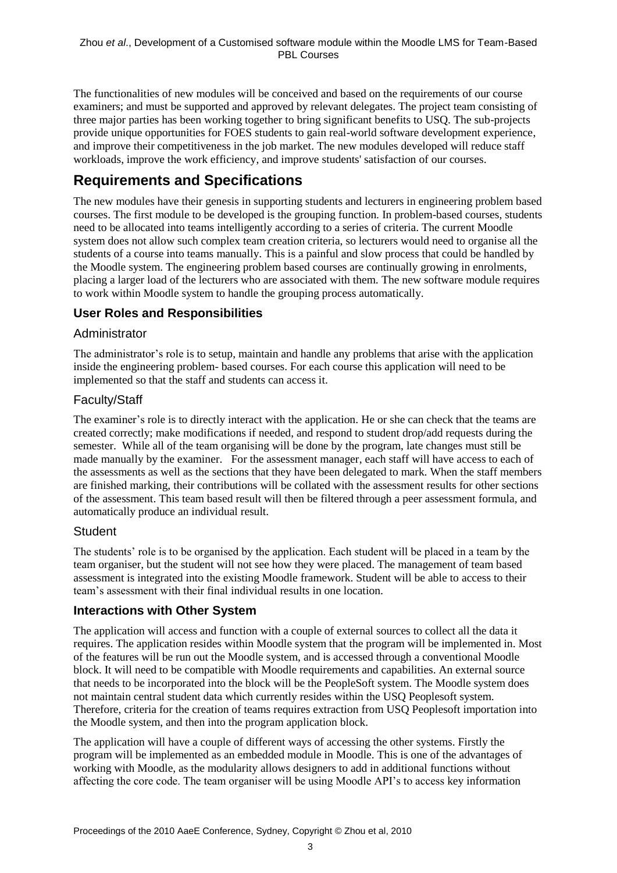The functionalities of new modules will be conceived and based on the requirements of our course examiners; and must be supported and approved by relevant delegates. The project team consisting of three major parties has been working together to bring significant benefits to USQ. The sub-projects provide unique opportunities for FOES students to gain real-world software development experience, and improve their competitiveness in the job market. The new modules developed will reduce staff workloads, improve the work efficiency, and improve students' satisfaction of our courses.

# **Requirements and Specifications**

The new modules have their genesis in supporting students and lecturers in engineering problem based courses. The first module to be developed is the grouping function. In problem-based courses, students need to be allocated into teams intelligently according to a series of criteria. The current Moodle system does not allow such complex team creation criteria, so lecturers would need to organise all the students of a course into teams manually. This is a painful and slow process that could be handled by the Moodle system. The engineering problem based courses are continually growing in enrolments, placing a larger load of the lecturers who are associated with them. The new software module requires to work within Moodle system to handle the grouping process automatically.

## **User Roles and Responsibilities**

### Administrator

The administrator"s role is to setup, maintain and handle any problems that arise with the application inside the engineering problem- based courses. For each course this application will need to be implemented so that the staff and students can access it.

## Faculty/Staff

The examiner's role is to directly interact with the application. He or she can check that the teams are created correctly; make modifications if needed, and respond to student drop/add requests during the semester. While all of the team organising will be done by the program, late changes must still be made manually by the examiner. For the assessment manager, each staff will have access to each of the assessments as well as the sections that they have been delegated to mark. When the staff members are finished marking, their contributions will be collated with the assessment results for other sections of the assessment. This team based result will then be filtered through a peer assessment formula, and automatically produce an individual result.

## **S[t](http://iss-tech.humboldt.edu/trac/wiki/defaulttemplate#Student)udent**

The students" role is to be organised by the application. Each student will be placed in a team by the team organiser, but the student will not see how they were placed. The management of team based assessment is integrated into the existing Moodle framework. Student will be able to access to their team"s assessment with their final individual results in one location.

## **Interactions with Other System**

The application will access and function with a couple of external sources to collect all the data it requires. The application resides within Moodle system that the program will be implemented in. Most of the features will be run out the Moodle system, and is accessed through a conventional Moodle block. It will need to be compatible with Moodle requirements and capabilities. An external source that needs to be incorporated into the block will be the PeopleSoft system. The Moodle system does not maintain central student data which currently resides within the USQ Peoplesoft system. Therefore, criteria for the creation of teams requires extraction from USQ Peoplesoft importation into the Moodle system, and then into the program application block.

The application will have a couple of different ways of accessing the other systems. Firstly the program will be implemented as an embedded module in Moodle. This is one of the advantages of working with Moodle, as the modularity allows designers to add in additional functions without affecting the core code. The team organiser will be using Moodle API"s to access key information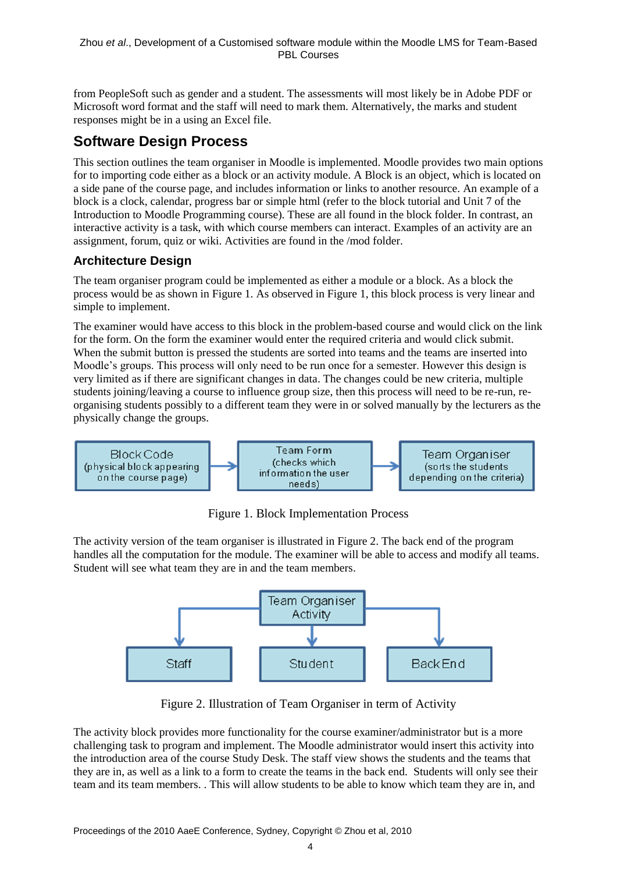from PeopleSoft such as gender and a student. The assessments will most likely be in Adobe PDF or Microsoft word format and the staff will need to mark them. Alternatively, the marks and student responses might be in a using an Excel file.

# **Software Design Process**

This section outlines the team organiser in Moodle is implemented. Moodle provides two main options for to importing code either as a block or an activity module. A Block is an object, which is located on a side pane of the course page, and includes information or links to another resource. An example of a block is a clock, calendar, progress bar or simple html (refer to the block tutorial and Unit 7 of the Introduction to Moodle Programming course). These are all found in the block folder. In contrast, an interactive activity is a task, with which course members can interact. Examples of an activity are an assignment, forum, quiz or wiki. Activities are found in the /mod folder.

# **Architecture Design**

The team organiser program could be implemented as either a module or a block. As a block the process would be as shown in Figure 1. As observed in Figure 1, this block process is very linear and simple to implement.

The examiner would have access to this block in the problem-based course and would click on the link for the form. On the form the examiner would enter the required criteria and would click submit. When the submit button is pressed the students are sorted into teams and the teams are inserted into Moodle"s groups. This process will only need to be run once for a semester. However this design is very limited as if there are significant changes in data. The changes could be new criteria, multiple students joining/leaving a course to influence group size, then this process will need to be re-run, reorganising students possibly to a different team they were in or solved manually by the lecturers as the physically change the groups.



Figure 1. Block Implementation Process

The activity version of the team organiser is illustrated in Figure 2. The back end of the program handles all the computation for the module. The examiner will be able to access and modify all teams. Student will see what team they are in and the team members.



Figure 2. Illustration of Team Organiser in term of Activity

The activity block provides more functionality for the course examiner/administrator but is a more challenging task to program and implement. The Moodle administrator would insert this activity into the introduction area of the course Study Desk. The staff view shows the students and the teams that they are in, as well as a link to a form to create the teams in the back end. Students will only see their team and its team members. . This will allow students to be able to know which team they are in, and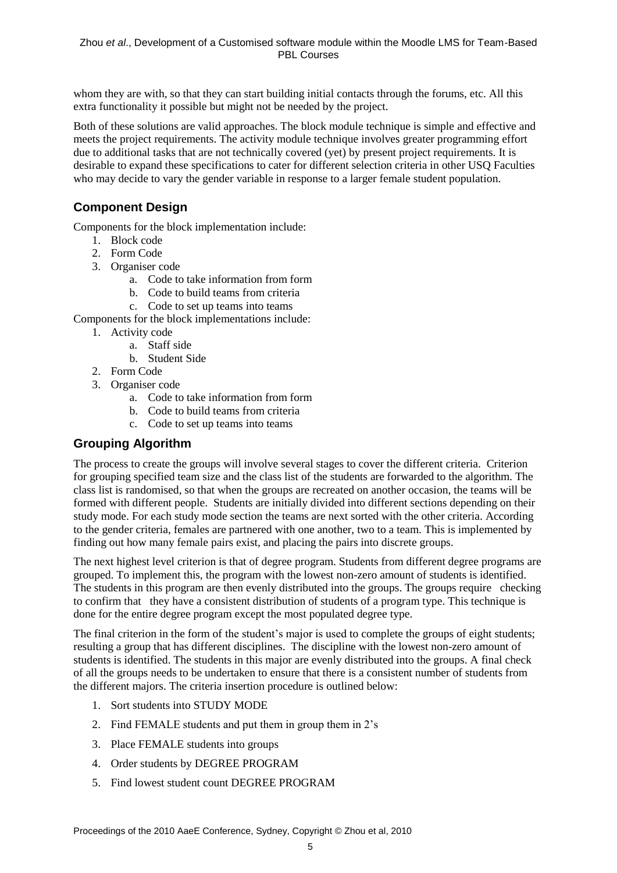whom they are with, so that they can start building initial contacts through the forums, etc. All this extra functionality it possible but might not be needed by the project.

Both of these solutions are valid approaches. The block module technique is simple and effective and meets the project requirements. The activity module technique involves greater programming effort due to additional tasks that are not technically covered (yet) by present project requirements. It is desirable to expand these specifications to cater for different selection criteria in other USQ Faculties who may decide to vary the gender variable in response to a larger female student population.

# **Component Design**

Components for the block implementation include:

- 1. Block code
- 2. Form Code
- 3. Organiser code
	- a. Code to take information from form
	- b. Code to build teams from criteria
	- c. Code to set up teams into teams

Components for the block implementations include:

- 1. Activity code
	- a. Staff side
	- b. Student Side
- 2. Form Code
- 3. Organiser code
	- a. Code to take information from form
	- b. Code to build teams from criteria
	- c. Code to set up teams into teams

### **Grouping Algorithm**

The process to create the groups will involve several stages to cover the different criteria. Criterion for grouping specified team size and the class list of the students are forwarded to the algorithm. The class list is randomised, so that when the groups are recreated on another occasion, the teams will be formed with different people. Students are initially divided into different sections depending on their study mode. For each study mode section the teams are next sorted with the other criteria. According to the gender criteria, females are partnered with one another, two to a team. This is implemented by finding out how many female pairs exist, and placing the pairs into discrete groups.

The next highest level criterion is that of degree program. Students from different degree programs are grouped. To implement this, the program with the lowest non-zero amount of students is identified. The students in this program are then evenly distributed into the groups. The groups require checking to confirm that they have a consistent distribution of students of a program type. This technique is done for the entire degree program except the most populated degree type.

The final criterion in the form of the student's major is used to complete the groups of eight students; resulting a group that has different disciplines. The discipline with the lowest non-zero amount of students is identified. The students in this major are evenly distributed into the groups. A final check of all the groups needs to be undertaken to ensure that there is a consistent number of students from the different majors. The criteria insertion procedure is outlined below:

- 1. Sort students into STUDY MODE
- 2. Find FEMALE students and put them in group them in 2"s
- 3. Place FEMALE students into groups
- 4. Order students by DEGREE PROGRAM
- 5. Find lowest student count DEGREE PROGRAM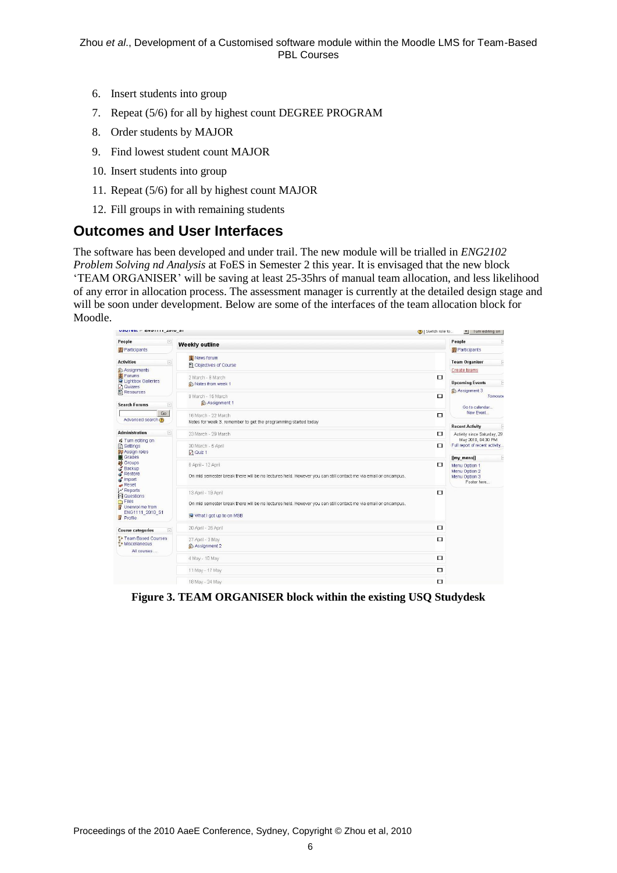- 6. Insert students into group
- 7. Repeat (5/6) for all by highest count DEGREE PROGRAM
- 8. Order students by MAJOR
- 9. Find lowest student count MAJOR
- 10. Insert students into group
- 11. Repeat (5/6) for all by highest count MAJOR
- 12. Fill groups in with remaining students

## **Outcomes and User Interfaces**

The software has been developed and under trail. The new module will be trialled in *ENG2102 Problem Solving nd Analysis* at FoES in Semester 2 this year. It is envisaged that the new block "TEAM ORGANISER" will be saving at least 25-35hrs of manual team allocation, and less likelihood of any error in allocation process. The assessment manager is currently at the detailed design stage and will be soon under development. Below are some of the interfaces of the team allocation block for Moodle.

| VOUTESLE ENVITTLE AVIV OF                                                                                                                                                                                                                                    |             |                                                                                                                                                                 | (?)   Switch role to | <b>Turn editing on</b><br><b>IN</b>                                       |  |
|--------------------------------------------------------------------------------------------------------------------------------------------------------------------------------------------------------------------------------------------------------------|-------------|-----------------------------------------------------------------------------------------------------------------------------------------------------------------|----------------------|---------------------------------------------------------------------------|--|
| People                                                                                                                                                                                                                                                       | E           | Weekly outline                                                                                                                                                  |                      | People                                                                    |  |
| Participants                                                                                                                                                                                                                                                 |             |                                                                                                                                                                 |                      | Participants                                                              |  |
| <b>Activities</b>                                                                                                                                                                                                                                            | $\boxed{-}$ | Wews forum<br>图 Objectives of Course                                                                                                                            |                      | <b>Team Organiser</b><br>F                                                |  |
| <b>&amp; Assignments</b><br>Forums<br>Lightbox Galleries<br>Quizzes<br>El Resources                                                                                                                                                                          |             | 2 March - 8 March<br>Notes from week 1                                                                                                                          | $\Box$               | <b>Create teams</b><br><b>Upcoming Events</b><br>E<br>Assignment 3        |  |
| <b>Search Forums</b>                                                                                                                                                                                                                                         | $\Box$      | 9 March - 15 March<br>Assignment 1                                                                                                                              | $\Box$               | Tomorrow<br>Go to calendar                                                |  |
| Go<br>Advanced search                                                                                                                                                                                                                                        |             | 16 March - 22 March<br>Notes for week 3, remember to get the programming started today                                                                          | □                    | New Event<br><b>Recent Activity</b>                                       |  |
| <b>Administration</b>                                                                                                                                                                                                                                        | $\Box$      | 23 March - 29 March                                                                                                                                             | $\Box$               | Activity since Saturday, 29                                               |  |
| ₹ Turn editing on<br><b>B</b> Settings<br><b>S</b> & Assign roles<br>Grades<br><b>in</b> Groups<br>Backup<br>Restore<br>import<br>$\rightarrow$ Reset<br>$\sim$ Reports<br><b>In I</b> Questions<br>G Files<br>Unenrol me from<br>ENG1111 2010 S1<br>Profile |             | 30 March - 5 April<br>$\Box$ Quiz 1                                                                                                                             | $\Box$               | May 2010, 04:30 PM<br>Full report of recent activity.<br>[[my_menu]]<br>E |  |
|                                                                                                                                                                                                                                                              |             | 6 April - 12 April<br>On mid semester break there will be no lectures held. However you can still contact me via email or oncampus.                             | $\Box$               | Menu Option 1<br>Menu Option 2<br>Menu Option 3<br>Footer here            |  |
|                                                                                                                                                                                                                                                              |             | 13 April - 19 April<br>On mid semester break there will be no lectures held. However you can still contact me via email or oncampus.<br>What I got up to on MSB | $\Box$               |                                                                           |  |
| <b>Course categories</b>                                                                                                                                                                                                                                     | $\Box$      | 20 April - 26 April                                                                                                                                             | $\Box$               |                                                                           |  |
| 향 Team Based Courses<br>향 Miscellaneous<br>All courses                                                                                                                                                                                                       |             | 27 April - 3 May<br><b>&amp; Assignment 2</b>                                                                                                                   | $\Box$               |                                                                           |  |
|                                                                                                                                                                                                                                                              |             | 4 May - 10 May                                                                                                                                                  | $\Box$               |                                                                           |  |
|                                                                                                                                                                                                                                                              |             | 11 May - 17 May                                                                                                                                                 | □                    |                                                                           |  |
|                                                                                                                                                                                                                                                              |             | 18 May - 24 May                                                                                                                                                 | $\Box$               |                                                                           |  |

**Figure 3. TEAM ORGANISER block within the existing USQ Studydesk**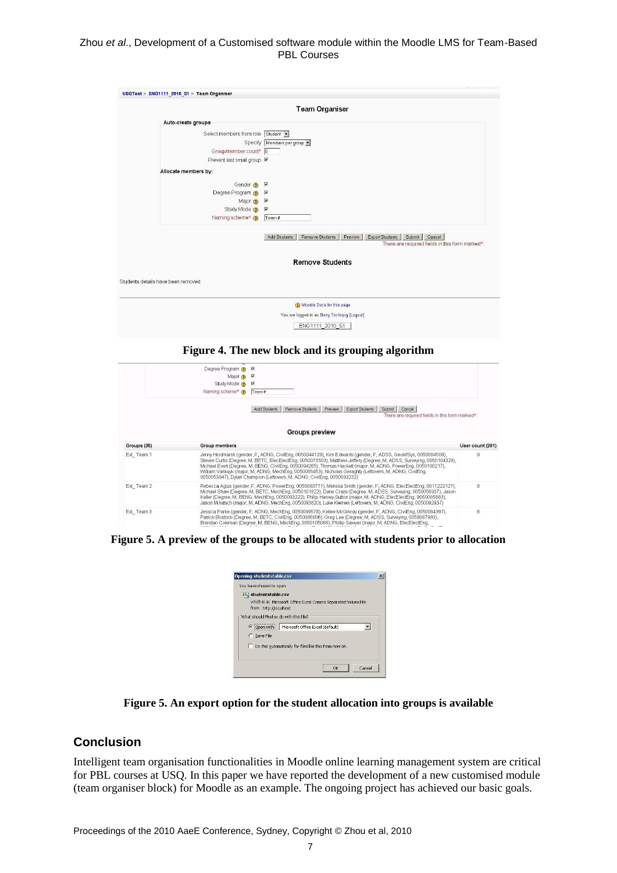#### Zhou *et al*., Development of a Customised software module within the Moodle LMS for Team-Based PBL Courses

|                                    |                                    | <b>Team Organiser</b>                                                                                                             |
|------------------------------------|------------------------------------|-----------------------------------------------------------------------------------------------------------------------------------|
|                                    |                                    |                                                                                                                                   |
|                                    | Auto-create groups                 |                                                                                                                                   |
|                                    | Select members from role Student * |                                                                                                                                   |
|                                    |                                    | Specify Members per group                                                                                                         |
|                                    | Group/member count* 8              |                                                                                                                                   |
|                                    | Prevent last small group M         |                                                                                                                                   |
|                                    | Allocate members by:               |                                                                                                                                   |
|                                    | Gender $\odot$ $\triangledown$     |                                                                                                                                   |
|                                    | Degree Program ? M                 |                                                                                                                                   |
|                                    | Major $\odot$ $\triangledown$      |                                                                                                                                   |
|                                    | Study Mode ? 区                     |                                                                                                                                   |
|                                    | Naming scheme* (?)                 | Team #                                                                                                                            |
|                                    |                                    | Remove Students<br>Export Students<br>Submit Cancel<br>Add Students<br>Preview<br>There are required fields in this form marked*. |
|                                    |                                    | <b>Remove Students</b>                                                                                                            |
| Students details have been removed |                                    |                                                                                                                                   |
|                                    |                                    |                                                                                                                                   |

ENG1111\_2010\_S1

#### **Figure 4. The new block and its grouping algorithm**

|             | Degree Program @                                                                                                                                                                                                                                                                                                                                                                                                                                                                                                                             | $\overline{\mathbf{v}}$                                                                                                                                                                                                                                                                                                                                                                                                                                                 |                  |
|-------------|----------------------------------------------------------------------------------------------------------------------------------------------------------------------------------------------------------------------------------------------------------------------------------------------------------------------------------------------------------------------------------------------------------------------------------------------------------------------------------------------------------------------------------------------|-------------------------------------------------------------------------------------------------------------------------------------------------------------------------------------------------------------------------------------------------------------------------------------------------------------------------------------------------------------------------------------------------------------------------------------------------------------------------|------------------|
|             | Major $\odot$                                                                                                                                                                                                                                                                                                                                                                                                                                                                                                                                | ⊽                                                                                                                                                                                                                                                                                                                                                                                                                                                                       |                  |
|             | Study Mode @                                                                                                                                                                                                                                                                                                                                                                                                                                                                                                                                 | R                                                                                                                                                                                                                                                                                                                                                                                                                                                                       |                  |
|             | Naming scheme* n                                                                                                                                                                                                                                                                                                                                                                                                                                                                                                                             | Team#                                                                                                                                                                                                                                                                                                                                                                                                                                                                   |                  |
|             |                                                                                                                                                                                                                                                                                                                                                                                                                                                                                                                                              | Remove Students<br>Preview<br>Export Students<br>Submit<br>Add Students<br>Cancel<br>There are required fields in this form marked*                                                                                                                                                                                                                                                                                                                                     |                  |
|             |                                                                                                                                                                                                                                                                                                                                                                                                                                                                                                                                              | Groups preview                                                                                                                                                                                                                                                                                                                                                                                                                                                          |                  |
| Groups (35) | <b>Group members</b>                                                                                                                                                                                                                                                                                                                                                                                                                                                                                                                         |                                                                                                                                                                                                                                                                                                                                                                                                                                                                         | User count (281) |
| Ext Team 1  | Jenny Hindmarsh (gender, F, ADNG, CivilEng, 0050044129), Kim Edwards (gender, F, ADSS, GeolnfSys, 0050084509),<br>Steven Curtis (Degree, M. BETC, ElecElectEng, 0050073503), Matthew Jeffery (Degree, M. ADSS, Surveying, 0050104329),<br>Michael Evert (Degree, M, BENG, CivilEng, 0050094265), Thomas Hackett (major, M, ADNG, PowerEng, 0050100217),<br>William Vankuyk (major, M, ADNG, MechEng, 0050085453), Nicholas Geraghty (Leftovers, M, ADNG, CivilEng,<br>0050053947), Dvlan Champion (Leftovers, M. ADNG, CivilEng, 0050093232) |                                                                                                                                                                                                                                                                                                                                                                                                                                                                         | 9                |
| Ext Team 2  |                                                                                                                                                                                                                                                                                                                                                                                                                                                                                                                                              | Rebecca Agius (gender, F, ADNG, PowerEng, 0050093771), Melissa Smith (gender, F, ADNG, ElecElectEng, 0011222127),<br>Michael Shaw (Degree, M, BETC, MechEng, 0050101822), Dane Craze (Degree, M, ADSS, Surveying, 0050056937), Jason<br>Keller (Degree, M, BENG, MechEng, 0050093222), Philip Harvey-Sutton (major, M, ADNG, ElecElectEng, 0050085883),<br>Jason Mihatsch (major, M, ADNG, MechEng, 0050093820), Luke Klemen (Leftovers, M, ADNG, CivilEng, 0050092937) | 8                |
| Ext Team 3  |                                                                                                                                                                                                                                                                                                                                                                                                                                                                                                                                              | Jessica Parke (gender, F. ADNG, MechEng, 0050099578), Kellee McGilvray (gender, F. ADNG, CivilEng, 0050084397),<br>Patrick Bostock (Degree, M, BETC, CivilEng, 0050086806), Greg Lee (Degree, M, ADSS, Surveying, 0050087980),<br>Brendan Coleman (Degree, M, BENG, MechEng, 0050105068), Phillip Sawyer (major, M, ADNG, ElecElectEng,                                                                                                                                 | 8                |

**Figure 5. A preview of the groups to be allocated with students prior to allocation** 

| Opening studentstable.csv              |                                                                |        |
|----------------------------------------|----------------------------------------------------------------|--------|
| You have chosen to open                |                                                                |        |
| studentstable.csv                      |                                                                |        |
| from: http://localhost                 | which is a: Microsoft Office Excel Comma Separated Values File |        |
| What should Firefox do with this file? |                                                                |        |
| • Open with                            | Microsoft Office Excel (default)                               |        |
| C Save File                            |                                                                |        |
|                                        | Do this automatically for files like this from now on.         |        |
|                                        |                                                                |        |
|                                        |                                                                |        |
|                                        | OK                                                             | Cancel |

**Figure 5. An export option for the student allocation into groups is available**

#### **Conclusion**

Intelligent team organisation functionalities in Moodle online learning management system are critical for PBL courses at USQ. In this paper we have reported the development of a new customised module (team organiser block) for Moodle as an example. The ongoing project has achieved our basic goals.